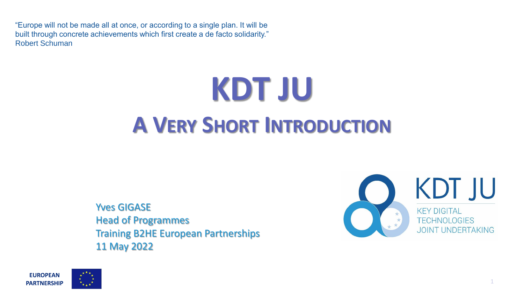"Europe will not be made all at once, or according to a single plan. It will be built through concrete achievements which first create a de facto solidarity." Robert Schuman

# **KDT JU A VERY SHORT INTRODUCTION**

Yves GIGASE Head of Programmes Training B2HE European Partnerships 11 May 2022



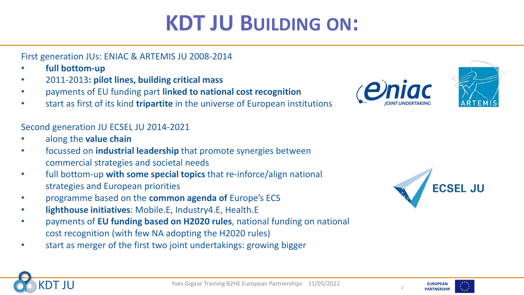## **KDT JU BUILDING ON:**

First generation JUs: ENIAC & ARTEMIS JU 2008-2014

- **full bottom-up**
- 2011-2013**: pilot lines, building critical mass**
- payments of EU funding part **linked to national cost recognition**
- start as first of its kind **tripartite** in the universe of European institutions

Second generation JU ECSEL JU 2014-2021

- along the **value chain**
- focussed on **industrial leadership** that promote synergies between commercial strategies and societal needs
- full bottom-up **with some special topics** that re-inforce/align national strategies and European priorities
- programme based on the **common agenda of** Europe's ECS
- **lighthouse initiatives**: Mobile.E, Industry4.E, Health.E
- payments of **EU funding based on H2020 rules**, national funding on national cost recognition (with few NA adopting the H2020 rules)
- start as merger of the first two joint undertakings: growing bigger







2

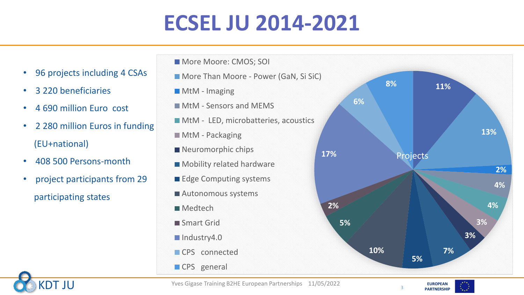# **ECSEL JU 2014-2021**

- 96 projects including 4 CSAs
- 3 220 beneficiaries
- 4 690 million Euro cost
- 2 280 million Euros in funding (EU+national)
- 408 500 Persons-month
- project participants from 29 participating states
- **More Moore: CMOS; SOI**
- **More Than Moore Power (GaN, Si SiC)**
- **MtM** Imaging
- **MtM Sensors and MEMS**
- **MtM LED, microbatteries, acoustics**
- **MtM** Packaging
- Neuromorphic chips
- **Mobility related hardware**
- Edge Computing systems
- Autonomous systems
- **Medtech**
- Smart Grid
- Industry4.0
- CPS connected
- CPS general





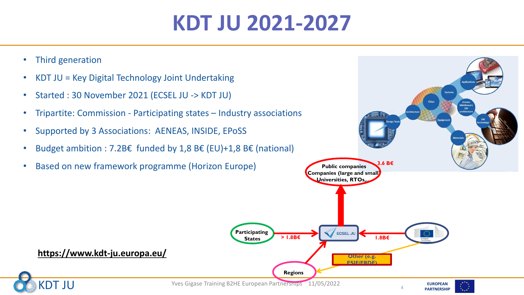# **KDT JU 2021-2027**

- Third generation
- KDT JU = Key Digital Technology Joint Undertaking
- Started : 30 November 2021 (ECSEL JU -> KDT JU)
- Tripartite: Commission Participating states Industry associations
- Supported by 3 Associations: AENEAS, INSIDE, EPoSS
- Budget ambition : 7.2B€ funded by 1,8 B€ (EU)+1,8 B€ (national)
- Based on new framework programme (Horizon Europe)

**https://www.kdt-ju.europa.eu/**

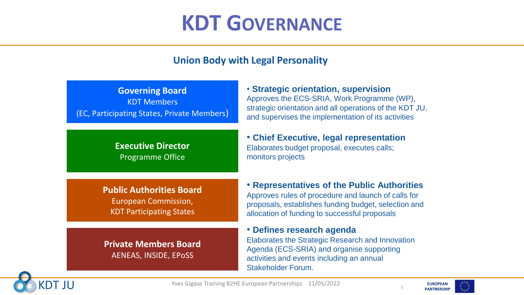### **KDT GOVERNANCE**

### **Union Body with Legal Personality**

| <b>Governing Board</b>                      |
|---------------------------------------------|
| <b>KDT Members</b>                          |
| (EC, Participating States, Private Members) |

#### **Executive Director** Programme Office

#### **Public Authorities Board**

European Commission, KDT Participating States

**Private Members Board** AENEAS, INSIDE, EPoSS

• **Strategic orientation, supervision** Approves the ECS-SRIA, Work Programme (WP), strategic orientation and all operations of the KDT JU, and supervises the implementation of its activities

• **Chief Executive, legal representation** Elaborates budget proposal, executes calls; monitors projects

• **Representatives of the Public Authorities** Approves rules of procedure and launch of calls for proposals, establishes funding budget, selection and allocation of funding to successful proposals

• **Defines research agenda**

Elaborates the Strategic Research and Innovation Agenda (ECS-SRIA) and organise supporting activities and events including an annual Stakeholder Forum.



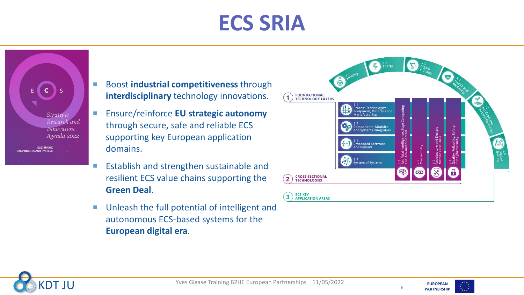# **ECS SRIA**

Strategic Research and Innovation Agenda 2022

**ELECTRONIC COMPONENTS AND SYSTEMS** 

- **Boost industrial competitiveness through interdisciplinary** technology innovations.
- Ensure/reinforce **EU strategic autonomy**  through secure, safe and reliable ECS supporting key European application domains.
- **Establish and strengthen sustainable and** resilient ECS value chains supporting the **Green Deal**.
- Unleash the full potential of intelligent and autonomous ECS-based systems for the **European digital era**.





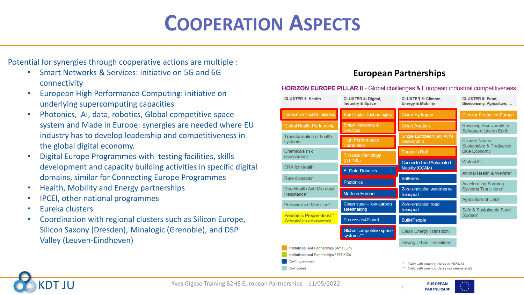### **COOPERATION ASPECTS**

Potential for synergies through cooperative actions are multiple :

- Smart Networks & Services: initiative on 5G and 6G connectivity
- European High Performance Computing: initiative on underlying supercomputing capacities
- Photonics, AI, data, robotics, Global competitive space system and Made in Europe: synergies are needed where EU industry has to develop leadership and competitiveness in the global digital economy.
- Digital Europe Programmes with testing facilities, skills development and capacity building activities in specific digital domains, similar for Connecting Europe Programmes
- Health, Mobility and Energy partnerships
- IPCEI, other national programmes
- Eureka clusters
- Coordination with regional clusters such as Silicon Europe, Silicon Saxony (Dresden), Minalogic (Grenoble), and DSP Valley (Leuven-Eindhoven)

#### **European Partnerships**

#### **HORIZON EUROPE PILLAR II - Global challenges & European industrial competitiveness CLUSTER 1: Health CLUSTER 4: Digital. CLUSTER 5: Climate. CLUSTER 6: Food. Industry & Space Energy & Mobility** Bioeconomy, Agriculture.

| <b>Innovative Health Initiative</b>                                                     | <b>Key Digital Technologies</b>                | <b>Clean Hydrogen</b>                                                           | <b>Circular Bio-based Europe</b>                           |  |
|-----------------------------------------------------------------------------------------|------------------------------------------------|---------------------------------------------------------------------------------|------------------------------------------------------------|--|
| <b>Global Health Partnership</b>                                                        | <b>Smart Networks &amp;</b><br><b>Services</b> | <b>Clean Aviation</b>                                                           | <b>Rescuing Biodiversity to</b><br>Safeguard Life on Earth |  |
| <b>Transformation of health</b><br>systems                                              | <b>High Performance</b><br>Computing           | <b>Single European Sky ATM</b><br>Research 3                                    | <b>Climate Neutral.</b><br>Sustainable & Productive        |  |
| Chemicals risk<br>assessment                                                            | <b>European Metrology</b>                      | <b>Europe's Rail</b>                                                            | <b>Blue Economy</b>                                        |  |
|                                                                                         | (Art. 185)                                     | <b>Connected and Automated</b>                                                  | Water4All                                                  |  |
| <b>ERA</b> for Health                                                                   | <b>Al-Data-Robotics</b>                        | Mobility (CCAM)                                                                 | Animal Health & Welfare*                                   |  |
| Rare diseases*                                                                          | <b>Photonics</b>                               | <b>Batteries</b>                                                                |                                                            |  |
| One-Health Anti Microbial<br>Resistance*                                                | Zero-emission waterborne                       | <b>Accelerating Farming</b><br><b>Systems Transitions*</b>                      |                                                            |  |
|                                                                                         | <b>Made in Europe</b>                          | transport                                                                       |                                                            |  |
| Personalised Medicine*                                                                  | Clean steel - low-carbon<br>Zero-emission road | Agriculture of Data*                                                            |                                                            |  |
| Pandemic Preparedness*                                                                  | steelmaking                                    | transport                                                                       | Safe & Sustainable Food<br>System <sup>*</sup>             |  |
| Co-funded or co-programmed                                                              | Processes4Planet                               | <b>Built4People</b>                                                             |                                                            |  |
|                                                                                         | Global competitive space<br>systems**          | <b>Clean Energy Transition</b>                                                  |                                                            |  |
|                                                                                         |                                                | <b>Driving Urban Transitions</b>                                                |                                                            |  |
| Institutionalised Partnerships (Art 185/7)<br>Institutionalised Partnerships / EIT KICs |                                                |                                                                                 |                                                            |  |
| Co-Programmed                                                                           |                                                |                                                                                 |                                                            |  |
| Co-Funded                                                                               |                                                | Calls with opening dates in 2023-24<br>Calls with opening dates not before 2022 |                                                            |  |
|                                                                                         |                                                |                                                                                 |                                                            |  |



**EUROPEAN** Yves Gigase Training B2HE European Partnerships 11/05/2022<br> **Realision** PARTNERSHIP

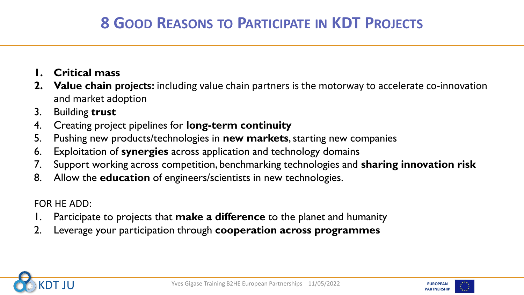### **8 GOOD REASONS TO PARTICIPATE IN KDT PROJECTS**

- **1. Critical mass**
- **2. Value chain projects:** including value chain partners is the motorway to accelerate co-innovation and market adoption
- 3. Building **trust**
- 4. Creating project pipelines for **long-term continuity**
- 5. Pushing new products/technologies in **new markets**, starting new companies
- 6. Exploitation of **synergies** across application and technology domains
- 7. Support working across competition, benchmarking technologies and **sharing innovation risk**
- 8. Allow the **education** of engineers/scientists in new technologies.

FOR HE ADD:

- 1. Participate to projects that **make a difference** to the planet and humanity
- 2. Leverage your participation through **cooperation across programmes**



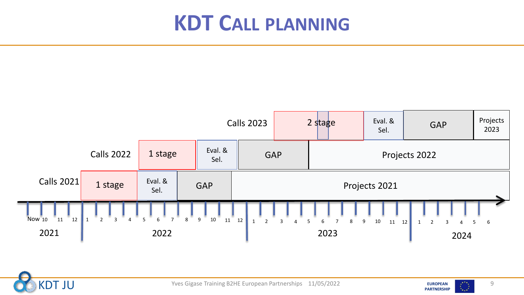### **KDT CALL PLANNING**





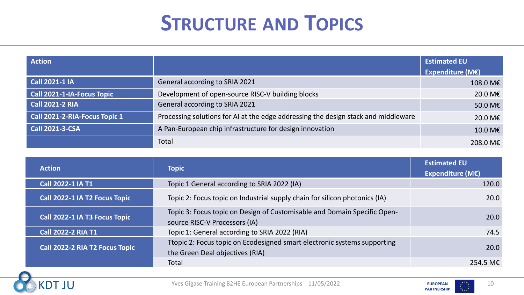### **STRUCTURE AND TOPICS**

| <b>Action</b>                 |                                                                                    | <b>Estimated EU</b>         |
|-------------------------------|------------------------------------------------------------------------------------|-----------------------------|
|                               |                                                                                    | Expenditure ( $M\epsilon$ ) |
| <b>Call 2021-1 IA</b>         | General according to SRIA 2021                                                     | 108.0 M€                    |
| Call 2021-1-IA-Focus Topic    | Development of open-source RISC-V building blocks                                  | 20.0 M€                     |
| $\overline{C}$ all 2021-2 RIA | General according to SRIA 2021                                                     | 50.0 M€                     |
| Call 2021-2-RIA-Focus Topic 1 | Processing solutions for AI at the edge addressing the design stack and middleware | 20.0 M€                     |
| <b>Call 2021-3-CSA</b>        | A Pan-European chip infrastructure for design innovation                           | 10.0 M€                     |
|                               | Total                                                                              | 208.0 M€                    |

| <b>Action</b>                  | <b>Topic</b>                                                                                                | <b>Estimated EU</b><br><b>Expenditure (M€)</b> |
|--------------------------------|-------------------------------------------------------------------------------------------------------------|------------------------------------------------|
| <b>Call 2022-1 IA T1</b>       | Topic 1 General according to SRIA 2022 (IA)                                                                 | 120.0                                          |
| Call 2022-1 IA T2 Focus Topic  | Topic 2: Focus topic on Industrial supply chain for silicon photonics (IA)                                  | 20.0                                           |
| Call 2022-1 IA T3 Focus Topic  | Topic 3: Focus topic on Design of Customisable and Domain Specific Open-<br>source RISC-V Processors (IA)   | 20.0                                           |
| <b>Call 2022-2 RIA T1</b>      | Topic 1: General according to SRIA 2022 (RIA)                                                               | 74.5                                           |
| Call 2022-2 RIA T2 Focus Topic | Ttopic 2: Focus topic on Ecodesigned smart electronic systems supporting<br>the Green Deal objectives (RIA) | 20.0                                           |
|                                | Total                                                                                                       | 254.5 M $\epsilon$                             |



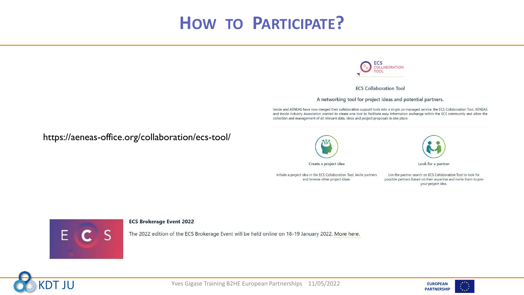### **HOW TO PARTICIPATE?**



**ECS Collaboration Tool** 

A networking tool for project ideas and potential partners.

Inside and AENEAS have now merged their collaboration support tools into a single co-managed service: the ECS Collaboration Tool. AENEAS and Inside Industry Association wanted to create one tool to facilitate easy information exchange within the ECS community and allow the collection and management of all relevant data, ideas and project proposals in one place.

https://aeneas-office.org/collaboration/ecs-tool/





Look for a partner

Use the partner search on ECS Collaboration Tool to look for possible partners based on their expertise and invite them to join your project idea.



#### **ECS Brokerage Event 2022**

The 2022 edition of the ECS Brokerage Event will be held online on 18-19 January 2022. More here.



**EUROPEAN** Yves Gigase Training B2HE European Partnerships 11/05/2022<br>
PARTNERSHIP

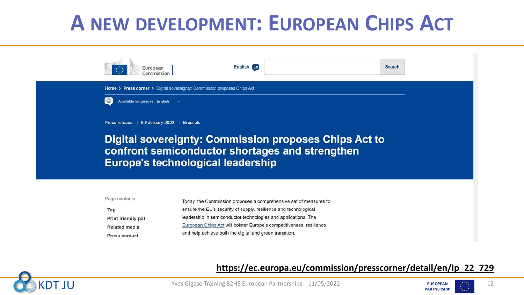### **A NEW DEVELOPMENT: EUROPEAN CHIPS ACT**





### **https://ec.europa.eu/commission/presscorner/detail/en/ip\_22\_729**